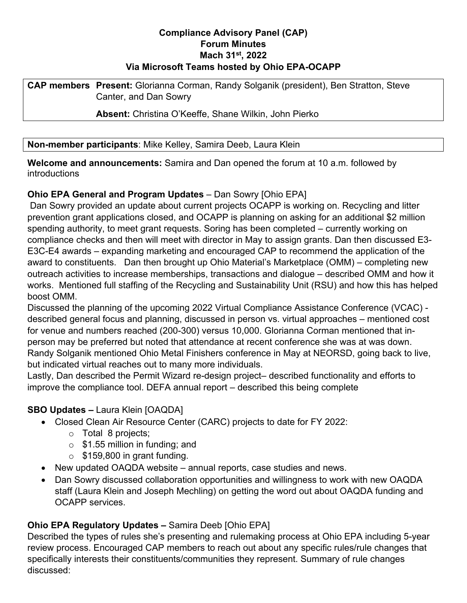## **Compliance Advisory Panel (CAP) Forum Minutes Mach 31st, 2022 Via Microsoft Teams hosted by Ohio EPA-OCAPP**

**CAP members Present:** Glorianna Corman, Randy Solganik (president), Ben Stratton, Steve Canter, and Dan Sowry

**Absent:** Christina O'Keeffe, Shane Wilkin, John Pierko

### **Non-member participants**: Mike Kelley, Samira Deeb, Laura Klein

**Welcome and announcements:** Samira and Dan opened the forum at 10 a.m. followed by introductions

## **Ohio EPA General and Program Updates** – Dan Sowry [Ohio EPA]

Dan Sowry provided an update about current projects OCAPP is working on. Recycling and litter prevention grant applications closed, and OCAPP is planning on asking for an additional \$2 million spending authority, to meet grant requests. Soring has been completed – currently working on compliance checks and then will meet with director in May to assign grants. Dan then discussed E3- E3C-E4 awards – expanding marketing and encouraged CAP to recommend the application of the award to constituents. Dan then brought up Ohio Material's Marketplace (OMM) – completing new outreach activities to increase memberships, transactions and dialogue – described OMM and how it works. Mentioned full staffing of the Recycling and Sustainability Unit (RSU) and how this has helped boost OMM.

Discussed the planning of the upcoming 2022 Virtual Compliance Assistance Conference (VCAC) described general focus and planning, discussed in person vs. virtual approaches – mentioned cost for venue and numbers reached (200-300) versus 10,000. Glorianna Corman mentioned that inperson may be preferred but noted that attendance at recent conference she was at was down. Randy Solganik mentioned Ohio Metal Finishers conference in May at NEORSD, going back to live, but indicated virtual reaches out to many more individuals.

Lastly, Dan described the Permit Wizard re-design project– described functionality and efforts to improve the compliance tool. DEFA annual report – described this being complete

## **SBO Updates –** Laura Klein [OAQDA]

- Closed Clean Air Resource Center (CARC) projects to date for FY 2022:
	- o Total 8 projects;
	- $\circ$  \$1.55 million in funding; and
	- $\circ$  \$159,800 in grant funding.
- New updated OAQDA website annual reports, case studies and news.
- Dan Sowry discussed collaboration opportunities and willingness to work with new OAQDA staff (Laura Klein and Joseph Mechling) on getting the word out about OAQDA funding and OCAPP services.

# **Ohio EPA Regulatory Updates –** Samira Deeb [Ohio EPA]

Described the types of rules she's presenting and rulemaking process at Ohio EPA including 5-year review process. Encouraged CAP members to reach out about any specific rules/rule changes that specifically interests their constituents/communities they represent. Summary of rule changes discussed: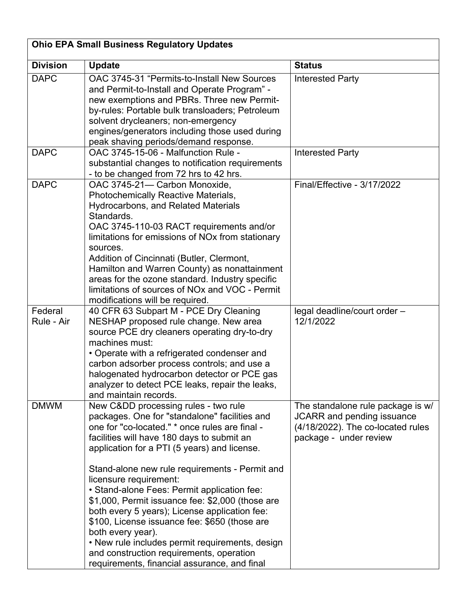| <b>Ohio EPA Small Business Regulatory Updates</b> |                                                                                                                                                                                                                                                                                                                                                                                                                                                                                                                                                                                                                                                                                          |                                                                                                                                       |  |
|---------------------------------------------------|------------------------------------------------------------------------------------------------------------------------------------------------------------------------------------------------------------------------------------------------------------------------------------------------------------------------------------------------------------------------------------------------------------------------------------------------------------------------------------------------------------------------------------------------------------------------------------------------------------------------------------------------------------------------------------------|---------------------------------------------------------------------------------------------------------------------------------------|--|
| <b>Division</b>                                   | <b>Update</b>                                                                                                                                                                                                                                                                                                                                                                                                                                                                                                                                                                                                                                                                            | <b>Status</b>                                                                                                                         |  |
| <b>DAPC</b>                                       | OAC 3745-31 "Permits-to-Install New Sources<br>and Permit-to-Install and Operate Program" -<br>new exemptions and PBRs. Three new Permit-<br>by-rules: Portable bulk transloaders; Petroleum<br>solvent drycleaners; non-emergency<br>engines/generators including those used during<br>peak shaving periods/demand response.                                                                                                                                                                                                                                                                                                                                                            | <b>Interested Party</b>                                                                                                               |  |
| <b>DAPC</b>                                       | OAC 3745-15-06 - Malfunction Rule -<br>substantial changes to notification requirements<br>- to be changed from 72 hrs to 42 hrs.                                                                                                                                                                                                                                                                                                                                                                                                                                                                                                                                                        | <b>Interested Party</b>                                                                                                               |  |
| <b>DAPC</b>                                       | OAC 3745-21- Carbon Monoxide,<br><b>Photochemically Reactive Materials,</b><br><b>Hydrocarbons, and Related Materials</b><br>Standards.<br>OAC 3745-110-03 RACT requirements and/or<br>limitations for emissions of NO <sub>x</sub> from stationary<br>sources.<br>Addition of Cincinnati (Butler, Clermont,<br>Hamilton and Warren County) as nonattainment<br>areas for the ozone standard. Industry specific<br>limitations of sources of NO <sub>x</sub> and VOC - Permit<br>modifications will be required.                                                                                                                                                                         | Final/Effective - 3/17/2022                                                                                                           |  |
| Federal<br>Rule - Air                             | 40 CFR 63 Subpart M - PCE Dry Cleaning<br>NESHAP proposed rule change. New area<br>source PCE dry cleaners operating dry-to-dry<br>machines must:<br>• Operate with a refrigerated condenser and<br>carbon adsorber process controls; and use a<br>halogenated hydrocarbon detector or PCE gas<br>analyzer to detect PCE leaks, repair the leaks,<br>and maintain records.                                                                                                                                                                                                                                                                                                               | legal deadline/court order -<br>12/1/2022                                                                                             |  |
| <b>DMWM</b>                                       | New Cⅅ processing rules - two rule<br>packages. One for "standalone" facilities and<br>one for "co-located." * once rules are final -<br>facilities will have 180 days to submit an<br>application for a PTI (5 years) and license.<br>Stand-alone new rule requirements - Permit and<br>licensure requirement:<br>• Stand-alone Fees: Permit application fee:<br>\$1,000, Permit issuance fee: \$2,000 (those are<br>both every 5 years); License application fee:<br>\$100, License issuance fee: \$650 (those are<br>both every year).<br>• New rule includes permit requirements, design<br>and construction requirements, operation<br>requirements, financial assurance, and final | The standalone rule package is w/<br><b>JCARR</b> and pending issuance<br>(4/18/2022). The co-located rules<br>package - under review |  |